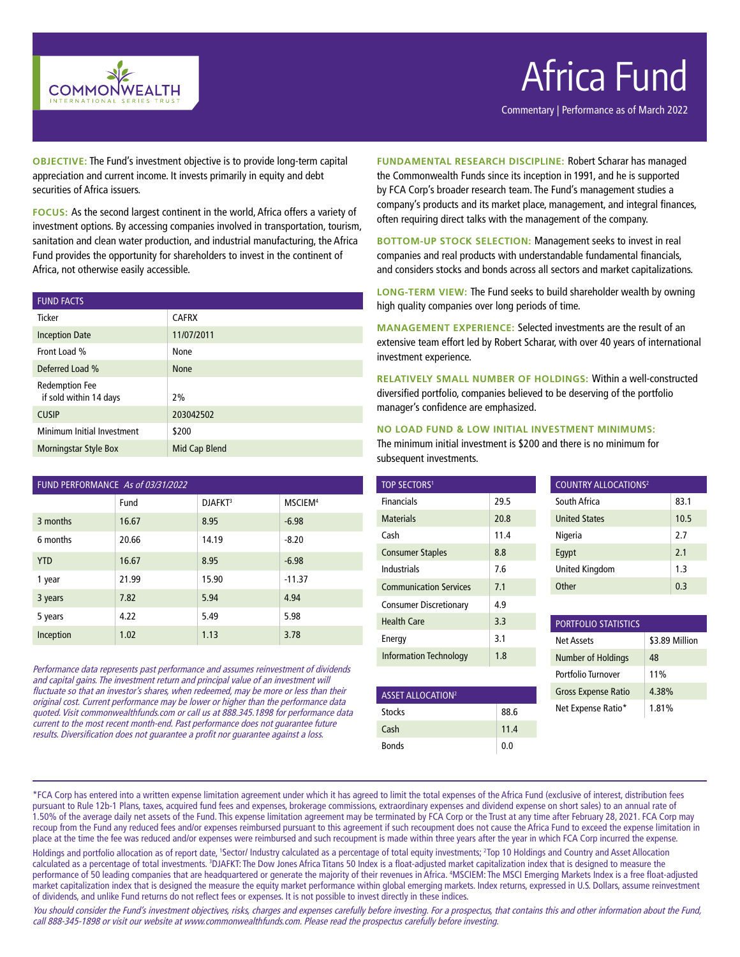

## Africa Fund

Commentary | Performance as of March 2022

**OBJECTIVE:** The Fund's investment objective is to provide long-term capital appreciation and current income. It invests primarily in equity and debt securities of Africa issuers.

**FOCUS:** As the second largest continent in the world, Africa offers a variety of investment options. By accessing companies involved in transportation, tourism, sanitation and clean water production, and industrial manufacturing, the Africa Fund provides the opportunity for shareholders to invest in the continent of Africa, not otherwise easily accessible.

| <b>FUND FACTS</b>                               |               |
|-------------------------------------------------|---------------|
| Ticker                                          | <b>CAFRX</b>  |
| <b>Inception Date</b>                           | 11/07/2011    |
| Front Load %                                    | None          |
| Deferred Load %                                 | <b>None</b>   |
| <b>Redemption Fee</b><br>if sold within 14 days | 2%            |
| <b>CUSIP</b>                                    | 203042502     |
| Minimum Initial Investment                      | \$200         |
| <b>Morningstar Style Box</b>                    | Mid Cap Blend |

| FUND PERFORMANCE As of 03/31/2022 |       |                     |                     |  |  |
|-----------------------------------|-------|---------------------|---------------------|--|--|
|                                   | Fund  | DJAFKT <sup>3</sup> | MSCIEM <sup>4</sup> |  |  |
| 3 months                          | 16.67 | 8.95                | $-6.98$             |  |  |
| 6 months                          | 20.66 | 14.19               | $-8.20$             |  |  |
| <b>YTD</b>                        | 16.67 | 8.95                | $-6.98$             |  |  |
| 1 year                            | 21.99 | 15.90               | $-11.37$            |  |  |
| 3 years                           | 7.82  | 5.94                | 4.94                |  |  |
| 5 years                           | 4.22  | 5.49                | 5.98                |  |  |
| Inception                         | 1.02  | 1.13                | 3.78                |  |  |

Performance data represents past performance and assumes reinvestment of dividends and capital gains. The investment return and principal value of an investment will fluctuate so that an investor's shares, when redeemed, may be more or less than their original cost. Current performance may be lower or higher than the performance data quoted. Visit commonwealthfunds.com or call us at 888.345.1898 for performance data current to the most recent month-end. Past performance does not guarantee future results. Diversification does not guarantee a profit nor guarantee against a loss.

**FUNDAMENTAL RESEARCH DISCIPLINE:** Robert Scharar has managed the Commonwealth Funds since its inception in 1991, and he is supported by FCA Corp's broader research team. The Fund's management studies a company's products and its market place, management, and integral finances, often requiring direct talks with the management of the company.

**BOTTOM-UP STOCK SELECTION:** Management seeks to invest in real companies and real products with understandable fundamental financials, and considers stocks and bonds across all sectors and market capitalizations.

**LONG-TERM VIEW:** The Fund seeks to build shareholder wealth by owning high quality companies over long periods of time.

**MANAGEMENT EXPERIENCE:** Selected investments are the result of an extensive team effort led by Robert Scharar, with over 40 years of international investment experience.

**RELATIVELY SMALL NUMBER OF HOLDINGS:** Within a well-constructed diversified portfolio, companies believed to be deserving of the portfolio manager's confidence are emphasized.

### **NO LOAD FUND & LOW INITIAL INVESTMENT MINIMUMS:**

The minimum initial investment is \$200 and there is no minimum for subsequent investments.

| <b>TOP SECTORS1</b>           |      |
|-------------------------------|------|
| <b>Financials</b>             | 29.5 |
| <b>Materials</b>              | 20.8 |
| Cash                          | 11.4 |
| <b>Consumer Staples</b>       | 8.8  |
| Industrials                   | 7.6  |
| <b>Communication Services</b> | 7.1  |
| <b>Consumer Discretionary</b> | 4.9  |
| Health Care                   | 3.3  |
| Energy                        | 3.1  |
| Information Technology        | 1.8  |

| <b>ASSET ALLOCATION2</b> |      |
|--------------------------|------|
| <b>Stocks</b>            | 88.6 |
| Cash                     | 11.4 |
| <b>Bonds</b>             | 0.0  |

| <b>COUNTRY ALLOCATIONS<sup>2</sup></b> |      |  |
|----------------------------------------|------|--|
| South Africa                           | 83.1 |  |
| <b>United States</b>                   | 10.5 |  |
| Nigeria                                | 2.7  |  |
| Eqypt                                  | 2.1  |  |
| <b>United Kingdom</b>                  | 1.3  |  |
| Other                                  | 0.3  |  |
|                                        |      |  |

| <b>PORTFOLIO STATISTICS</b> |                |  |  |
|-----------------------------|----------------|--|--|
| <b>Net Assets</b>           | \$3.89 Million |  |  |
| <b>Number of Holdings</b>   | 48             |  |  |
| Portfolio Turnover          | 11%            |  |  |
| <b>Gross Expense Ratio</b>  | 4.38%          |  |  |
| Net Expense Ratio*          | 1.81%          |  |  |

\*FCA Corp has entered into a written expense limitation agreement under which it has agreed to limit the total expenses of the Africa Fund (exclusive of interest, distribution fees pursuant to Rule 12b-1 Plans, taxes, acquired fund fees and expenses, brokerage commissions, extraordinary expenses and dividend expense on short sales) to an annual rate of 1.50% of the average daily net assets of the Fund. This expense limitation agreement may be terminated by FCA Corp or the Trust at any time after February 28, 2021. FCA Corp may recoup from the Fund any reduced fees and/or expenses reimbursed pursuant to this agreement if such recoupment does not cause the Africa Fund to exceed the expense limitation in place at the time the fee was reduced and/or expenses were reimbursed and such recoupment is made within three years after the year in which FCA Corp incurred the expense.

Holdings and portfolio allocation as of report date, 'Sector/ Industry calculated as a percentage of total equity investments; <sup>2</sup>Top 10 Holdings and Country and Asset Allocation calculated as a percentage of total investments. <sup>3</sup>DJAFKT: The Dow Jones Africa Titans 50 Index is a float-adjusted market capitalization index that is designed to measure the performance of 50 leading companies that are headquartered or generate the majority of their revenues in Africa. <sup>4</sup>MSCIEM: The MSCI Emerging Markets Index is a free float-adjusted market capitalization index that is designed the measure the equity market performance within global emerging markets. Index returns, expressed in U.S. Dollars, assume reinvestment of dividends, and unlike Fund returns do not reflect fees or expenses. It is not possible to invest directly in these indices.

You should consider the Fund's investment objectives, risks, charges and expenses carefully before investing. For a prospectus, that contains this and other information about the Fund, call 888-345-1898 or visit our website at www.commonwealthfunds.com. Please read the prospectus carefully before investing.